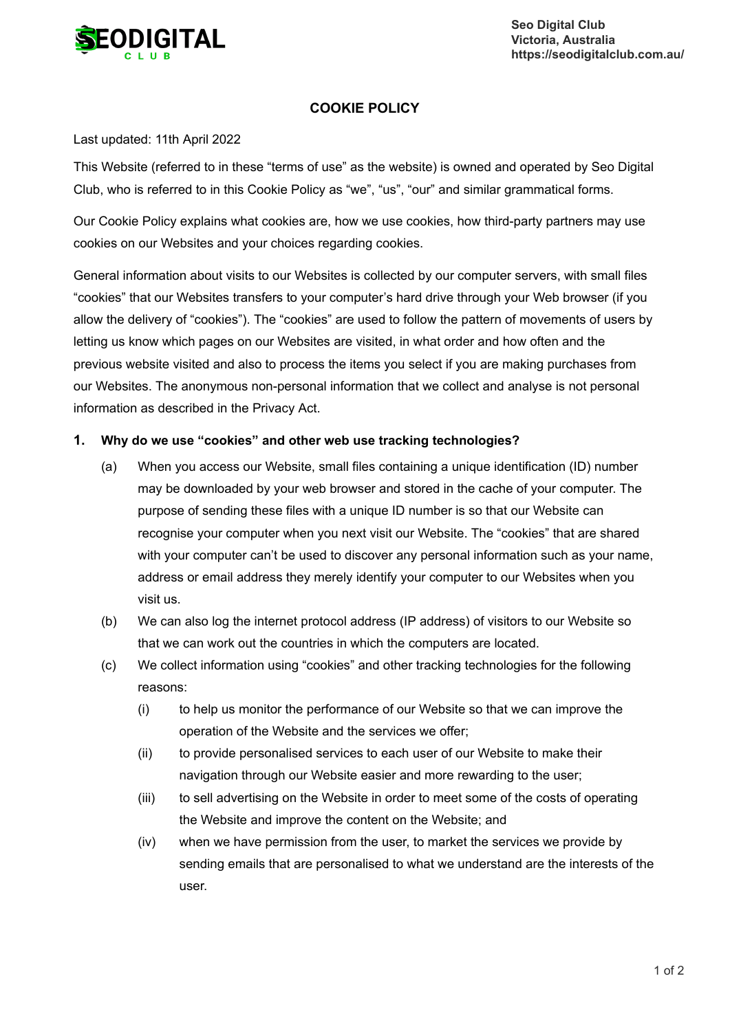

**Seo Digital Club Victoria, Australia https://seodigitalclub.com.au/**

## **COOKIE POLICY**

## Last updated: 11th April 2022

This Website (referred to in these "terms of use" as the website) is owned and operated by Seo Digital Club, who is referred to in this Cookie Policy as "we", "us", "our" and similar grammatical forms.

Our Cookie Policy explains what cookies are, how we use cookies, how third-party partners may use cookies on our Websites and your choices regarding cookies.

General information about visits to our Websites is collected by our computer servers, with small files "cookies" that our Websites transfers to your computer's hard drive through your Web browser (if you allow the delivery of "cookies"). The "cookies" are used to follow the pattern of movements of users by letting us know which pages on our Websites are visited, in what order and how often and the previous website visited and also to process the items you select if you are making purchases from our Websites. The anonymous non-personal information that we collect and analyse is not personal information as described in the Privacy Act.

## **1. Why do we use "cookies" and other web use tracking technologies?**

- (a) When you access our Website, small files containing a unique identification (ID) number may be downloaded by your web browser and stored in the cache of your computer. The purpose of sending these files with a unique ID number is so that our Website can recognise your computer when you next visit our Website. The "cookies" that are shared with your computer can't be used to discover any personal information such as your name, address or email address they merely identify your computer to our Websites when you visit us.
- (b) We can also log the internet protocol address (IP address) of visitors to our Website so that we can work out the countries in which the computers are located.
- (c) We collect information using "cookies" and other tracking technologies for the following reasons:
	- (i) to help us monitor the performance of our Website so that we can improve the operation of the Website and the services we offer;
	- (ii) to provide personalised services to each user of our Website to make their navigation through our Website easier and more rewarding to the user;
	- (iii) to sell advertising on the Website in order to meet some of the costs of operating the Website and improve the content on the Website; and
	- (iv) when we have permission from the user, to market the services we provide by sending emails that are personalised to what we understand are the interests of the user.